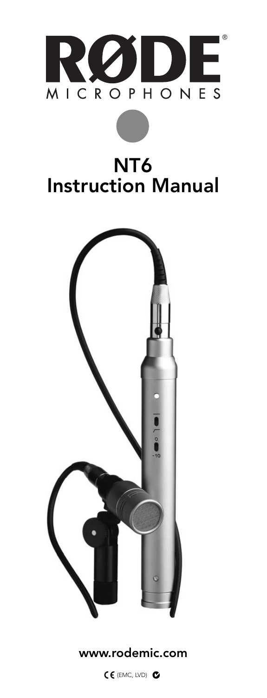

### NT6 Instruction Manual



#### www.rodemic.com

(EMC, LVD)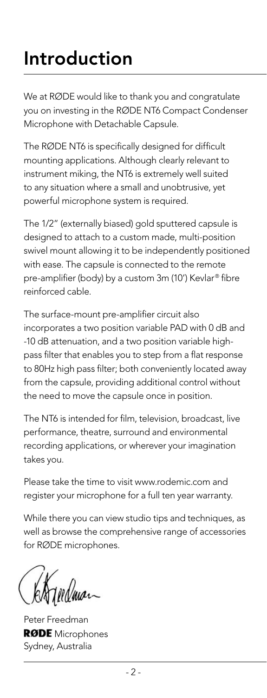## Introduction

We at RØDE would like to thank you and congratulate you on investing in the RØDE NT6 Compact Condenser Microphone with Detachable Capsule.

The RØDE NT6 is specifically designed for difficult mounting applications. Although clearly relevant to instrument miking, the NT6 is extremely well suited to any situation where a small and unobtrusive, yet powerful microphone system is required.

The 1/2" (externally biased) gold sputtered capsule is designed to attach to a custom made, multi-position swivel mount allowing it to be independently positioned with ease. The capsule is connected to the remote pre-amplifier (body) by a custom 3m (10') Kevlar® fibre reinforced cable.

The surface-mount pre-amplifier circuit also incorporates a two position variable PAD with 0 dB and -10 dB attenuation, and a two position variable highpass filter that enables you to step from a flat response to 80Hz high pass filter; both conveniently located away from the capsule, providing additional control without the need to move the capsule once in position.

The NT6 is intended for film, television, broadcast, live performance, theatre, surround and environmental recording applications, or wherever your imagination takes you.

Please take the time to visit www.rodemic.com and register your microphone for a full ten year warranty.

While there you can view studio tips and techniques, as well as browse the comprehensive range of accessories for RØDE microphones.

Peter Freedman **RØDE** Microphones Sydney, Australia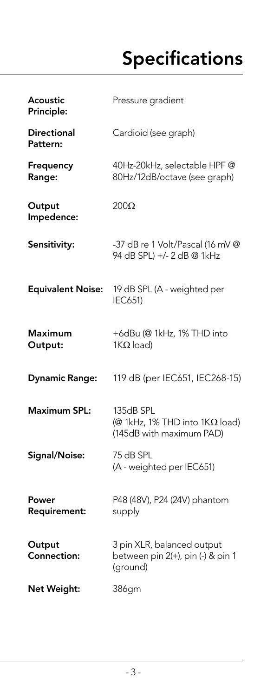## **Specifications**

| Acoustic<br>Principle:         | Pressure gradient                                                                |
|--------------------------------|----------------------------------------------------------------------------------|
| <b>Directional</b><br>Pattern: | Cardioid (see graph)                                                             |
| Frequency<br>Range:            | 40Hz-20kHz, selectable HPF@<br>80Hz/12dB/octave (see graph)                      |
| Output<br>Impedence:           | $200\Omega$                                                                      |
| Sensitivity:                   | -37 dB re 1 Volt/Pascal (16 mV @<br>94 dB SPL) +/- 2 dB @ 1kHz                   |
| <b>Equivalent Noise:</b>       | 19 dB SPL (A - weighted per<br><b>IEC651)</b>                                    |
| Maximum<br>Output:             | +6dBu (@ 1kHz, 1% THD into<br>$1K\Omega$ load)                                   |
| <b>Dynamic Range:</b>          | 119 dB (per IEC651, IEC268-15)                                                   |
| <b>Maximum SPL:</b>            | 135dB SPL<br>$(@ 1kHz, 1% THD$ into $1K\Omega$ load)<br>(145dB with maximum PAD) |
| Signal/Noise:                  | 75 dB SPL<br>(A - weighted per IEC651)                                           |
| Power<br>Requirement:          | P48 (48V), P24 (24V) phantom<br>supply                                           |
| Output<br>Connection:          | 3 pin XLR, balanced output<br>between pin 2(+), pin (-) & pin 1<br>(ground)      |
| Net Weight:                    | 386gm                                                                            |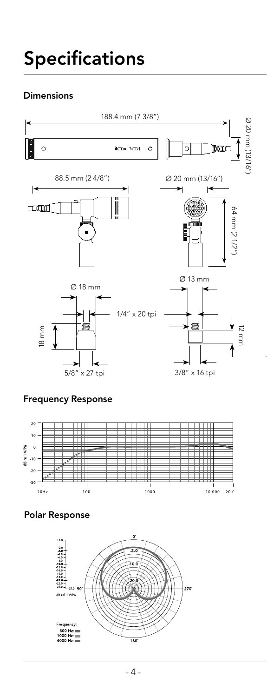#### Dimensions



#### Frequency Response



Polar Response

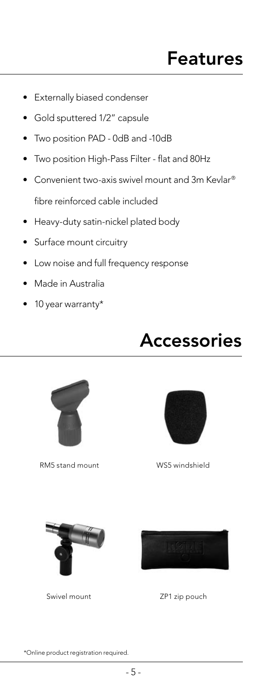### Features

- Externally biased condenser
- Gold sputtered 1/2" capsule
- Two position PAD 0dB and -10dB
- Two position High-Pass Filter flat and 80Hz
- Convenient two-axis swivel mount and 3m Kevlar® fibre reinforced cable included
- Heavy-duty satin-nickel plated body
- Surface mount circuitry
- Low noise and full frequency response
- Made in Australia
- 10 year warranty\*





RM5 stand mount



WS5 windshield



Swivel mount



ZP1 zip pouch

\*Online product registration required.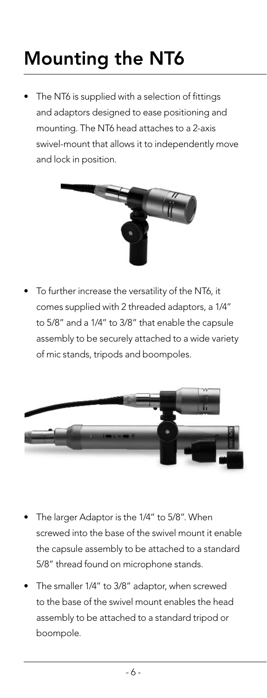# Mounting the NT6

The NT6 is supplied with a selection of fittings and adaptors designed to ease positioning and mounting. The NT6 head attaches to a 2-axis swivel-mount that allows it to independently move and lock in position.



• To further increase the versatility of the NT6, it comes supplied with 2 threaded adaptors, a 1/4" to 5/8" and a 1/4" to 3/8" that enable the capsule assembly to be securely attached to a wide variety of mic stands, tripods and boompoles.



- The larger Adaptor is the 1/4" to 5/8". When screwed into the base of the swivel mount it enable the capsule assembly to be attached to a standard 5/8" thread found on microphone stands.
- The smaller 1/4" to 3/8" adaptor, when screwed to the base of the swivel mount enables the head assembly to be attached to a standard tripod or boompole.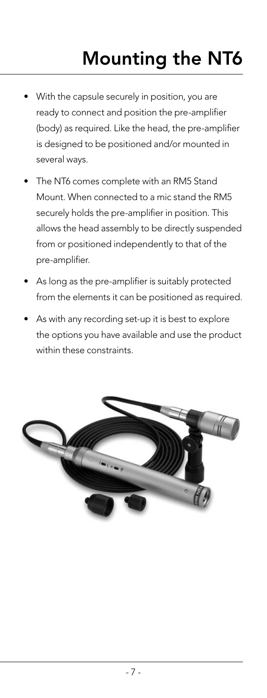## Mounting the NT6

- With the capsule securely in position, you are ready to connect and position the pre-amplifier (body) as required. Like the head, the pre-amplifier is designed to be positioned and/or mounted in several ways.
- The NT6 comes complete with an RM5 Stand Mount. When connected to a mic stand the RM5 securely holds the pre-amplifier in position. This allows the head assembly to be directly suspended from or positioned independently to that of the pre-amplifier.
- As long as the pre-amplifier is suitably protected from the elements it can be positioned as required.
- As with any recording set-up it is best to explore the options you have available and use the product within these constraints.

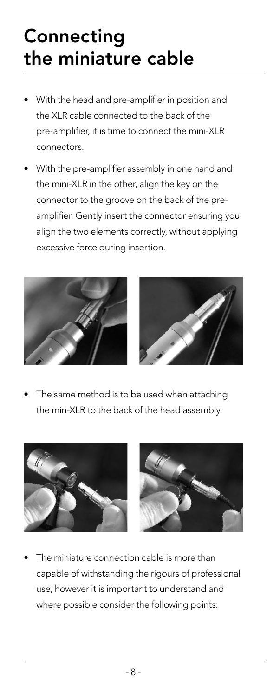## **Connecting** the miniature cable

- With the head and pre-amplifier in position and the XLR cable connected to the back of the pre-amplifier, it is time to connect the mini-XLR connectors.
- With the pre-amplifier assembly in one hand and the mini-XLR in the other, align the key on the connector to the groove on the back of the preamplifier. Gently insert the connector ensuring you align the two elements correctly, without applying excessive force during insertion.





The same method is to be used when attaching the min-XLR to the back of the head assembly.





The miniature connection cable is more than capable of withstanding the rigours of professional use, however it is important to understand and where possible consider the following points: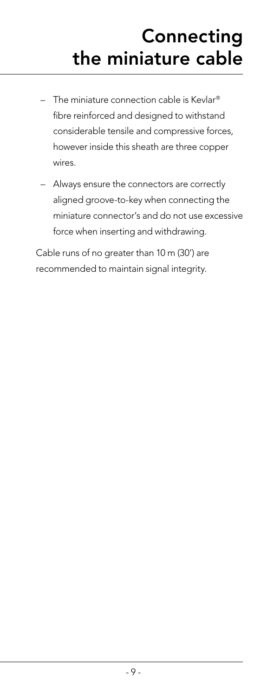## **Connecting** the miniature cable

- $-$  The miniature connection cable is Kevlar<sup>®</sup> fibre reinforced and designed to withstand considerable tensile and compressive forces, however inside this sheath are three copper wires.
- Always ensure the connectors are correctly aligned groove-to-key when connecting the miniature connector's and do not use excessive force when inserting and withdrawing.

 Cable runs of no greater than 10 m (30') are recommended to maintain signal integrity.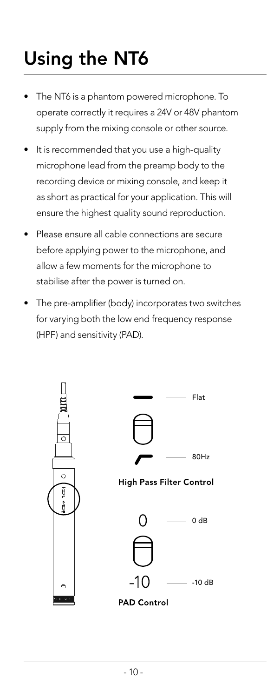# Using the NT6

- The NT6 is a phantom powered microphone. To operate correctly it requires a 24V or 48V phantom supply from the mixing console or other source.
- It is recommended that you use a high-quality microphone lead from the preamp body to the recording device or mixing console, and keep it as short as practical for your application. This will ensure the highest quality sound reproduction.
- Please ensure all cable connections are secure before applying power to the microphone, and allow a few moments for the microphone to stabilise after the power is turned on.
- The pre-amplifier (body) incorporates two switches for varying both the low end frequency response (HPF) and sensitivity (PAD).

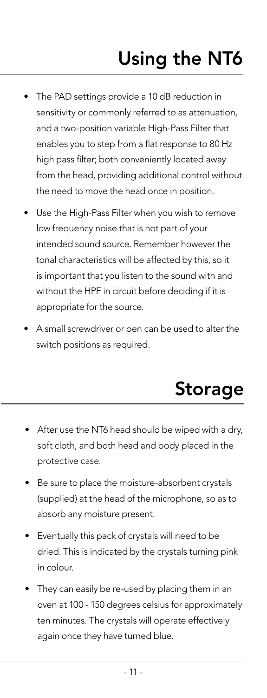# Using the NT6

- The PAD settings provide a 10 dB reduction in sensitivity or commonly referred to as attenuation, and a two-position variable High-Pass Filter that enables you to step from a flat response to 80 Hz high pass filter; both conveniently located away from the head, providing additional control without the need to move the head once in position.
- Use the High-Pass Filter when you wish to remove low frequency noise that is not part of your intended sound source. Remember however the tonal characteristics will be affected by this, so it is important that you listen to the sound with and without the HPF in circuit before deciding if it is appropriate for the source.
- A small screwdriver or pen can be used to alter the switch positions as required.

### Storage

- After use the NT6 head should be wiped with a dry, soft cloth, and both head and body placed in the protective case.
- Be sure to place the moisture-absorbent crystals (supplied) at the head of the microphone, so as to absorb any moisture present.
- Eventually this pack of crystals will need to be dried. This is indicated by the crystals turning pink in colour.
- They can easily be re-used by placing them in an oven at 100 - 150 degrees celsius for approximately ten minutes. The crystals will operate effectively again once they have turned blue.